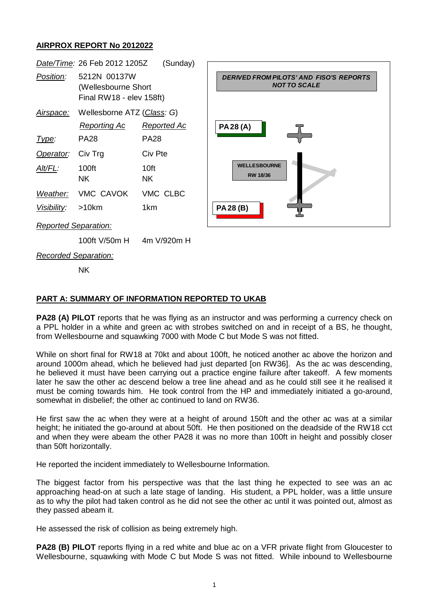## **AIRPROX REPORT No 2012022**



## **PART A: SUMMARY OF INFORMATION REPORTED TO UKAB**

**PA28 (A) PILOT** reports that he was flying as an instructor and was performing a currency check on a PPL holder in a white and green ac with strobes switched on and in receipt of a BS, he thought, from Wellesbourne and squawking 7000 with Mode C but Mode S was not fitted.

While on short final for RW18 at 70kt and about 100ft, he noticed another ac above the horizon and around 1000m ahead, which he believed had just departed [on RW36]. As the ac was descending, he believed it must have been carrying out a practice engine failure after takeoff. A few moments later he saw the other ac descend below a tree line ahead and as he could still see it he realised it must be coming towards him. He took control from the HP and immediately initiated a go-around, somewhat in disbelief; the other ac continued to land on RW36.

He first saw the ac when they were at a height of around 150ft and the other ac was at a similar height; he initiated the go-around at about 50ft. He then positioned on the deadside of the RW18 cct and when they were abeam the other PA28 it was no more than 100ft in height and possibly closer than 50ft horizontally.

He reported the incident immediately to Wellesbourne Information.

The biggest factor from his perspective was that the last thing he expected to see was an ac approaching head-on at such a late stage of landing. His student, a PPL holder, was a little unsure as to why the pilot had taken control as he did not see the other ac until it was pointed out, almost as they passed abeam it.

He assessed the risk of collision as being extremely high.

**PA28 (B) PILOT** reports flying in a red white and blue ac on a VFR private flight from Gloucester to Wellesbourne, squawking with Mode C but Mode S was not fitted. While inbound to Wellesbourne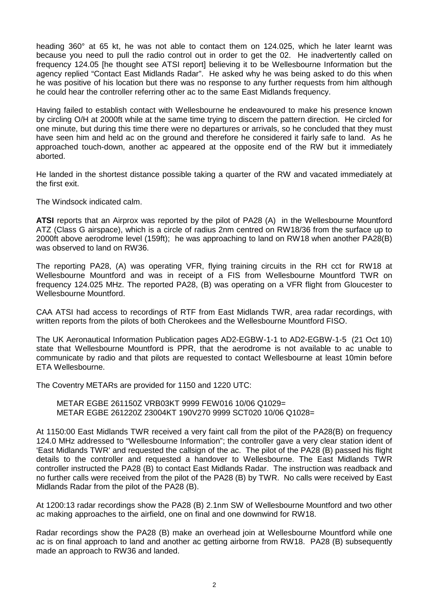heading 360° at 65 kt, he was not able to contact them on 124.025, which he later learnt was because you need to pull the radio control out in order to get the 02. He inadvertently called on frequency 124.05 [he thought see ATSI report] believing it to be Wellesbourne Information but the agency replied "Contact East Midlands Radar". He asked why he was being asked to do this when he was positive of his location but there was no response to any further requests from him although he could hear the controller referring other ac to the same East Midlands frequency.

Having failed to establish contact with Wellesbourne he endeavoured to make his presence known by circling O/H at 2000ft while at the same time trying to discern the pattern direction. He circled for one minute, but during this time there were no departures or arrivals, so he concluded that they must have seen him and held ac on the ground and therefore he considered it fairly safe to land. As he approached touch-down, another ac appeared at the opposite end of the RW but it immediately aborted.

He landed in the shortest distance possible taking a quarter of the RW and vacated immediately at the first exit.

The Windsock indicated calm.

**ATSI** reports that an Airprox was reported by the pilot of PA28 (A) in the Wellesbourne Mountford ATZ (Class G airspace), which is a circle of radius 2nm centred on RW18/36 from the surface up to 2000ft above aerodrome level (159ft); he was approaching to land on RW18 when another PA28(B) was observed to land on RW36.

The reporting PA28, (A) was operating VFR, flying training circuits in the RH cct for RW18 at Wellesbourne Mountford and was in receipt of a FIS from Wellesbourne Mountford TWR on frequency 124.025 MHz. The reported PA28, (B) was operating on a VFR flight from Gloucester to Wellesbourne Mountford.

CAA ATSI had access to recordings of RTF from East Midlands TWR, area radar recordings, with written reports from the pilots of both Cherokees and the Wellesbourne Mountford FISO.

The UK Aeronautical Information Publication pages AD2-EGBW-1-1 to AD2-EGBW-1-5 (21 Oct 10) state that Wellesbourne Mountford is PPR, that the aerodrome is not available to ac unable to communicate by radio and that pilots are requested to contact Wellesbourne at least 10min before ETA Wellesbourne.

The Coventry METARs are provided for 1150 and 1220 UTC:

METAR EGBE 261150Z VRB03KT 9999 FEW016 10/06 Q1029= METAR EGBE 261220Z 23004KT 190V270 9999 SCT020 10/06 Q1028=

At 1150:00 East Midlands TWR received a very faint call from the pilot of the PA28(B) on frequency 124.0 MHz addressed to "Wellesbourne Information"; the controller gave a very clear station ident of 'East Midlands TWR' and requested the callsign of the ac. The pilot of the PA28 (B) passed his flight details to the controller and requested a handover to Wellesbourne. The East Midlands TWR controller instructed the PA28 (B) to contact East Midlands Radar. The instruction was readback and no further calls were received from the pilot of the PA28 (B) by TWR. No calls were received by East Midlands Radar from the pilot of the PA28 (B).

At 1200:13 radar recordings show the PA28 (B) 2.1nm SW of Wellesbourne Mountford and two other ac making approaches to the airfield, one on final and one downwind for RW18.

Radar recordings show the PA28 (B) make an overhead join at Wellesbourne Mountford while one ac is on final approach to land and another ac getting airborne from RW18. PA28 (B) subsequently made an approach to RW36 and landed.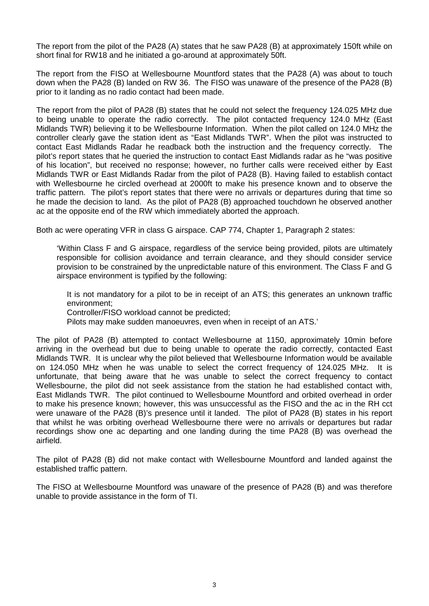The report from the pilot of the PA28 (A) states that he saw PA28 (B) at approximately 150ft while on short final for RW18 and he initiated a go-around at approximately 50ft.

The report from the FISO at Wellesbourne Mountford states that the PA28 (A) was about to touch down when the PA28 (B) landed on RW 36. The FISO was unaware of the presence of the PA28 (B) prior to it landing as no radio contact had been made.

The report from the pilot of PA28 (B) states that he could not select the frequency 124.025 MHz due to being unable to operate the radio correctly. The pilot contacted frequency 124.0 MHz (East Midlands TWR) believing it to be Wellesbourne Information. When the pilot called on 124.0 MHz the controller clearly gave the station ident as "East Midlands TWR". When the pilot was instructed to contact East Midlands Radar he readback both the instruction and the frequency correctly. The pilot's report states that he queried the instruction to contact East Midlands radar as he "was positive of his location", but received no response; however, no further calls were received either by East Midlands TWR or East Midlands Radar from the pilot of PA28 (B). Having failed to establish contact with Wellesbourne he circled overhead at 2000ft to make his presence known and to observe the traffic pattern. The pilot's report states that there were no arrivals or departures during that time so he made the decision to land. As the pilot of PA28 (B) approached touchdown he observed another ac at the opposite end of the RW which immediately aborted the approach.

Both ac were operating VFR in class G airspace. CAP 774, Chapter 1, Paragraph 2 states:

'Within Class F and G airspace, regardless of the service being provided, pilots are ultimately responsible for collision avoidance and terrain clearance, and they should consider service provision to be constrained by the unpredictable nature of this environment. The Class F and G airspace environment is typified by the following:

It is not mandatory for a pilot to be in receipt of an ATS; this generates an unknown traffic environment;

Controller/FISO workload cannot be predicted;

Pilots may make sudden manoeuvres, even when in receipt of an ATS.'

The pilot of PA28 (B) attempted to contact Wellesbourne at 1150, approximately 10min before arriving in the overhead but due to being unable to operate the radio correctly, contacted East Midlands TWR. It is unclear why the pilot believed that Wellesbourne Information would be available on 124.050 MHz when he was unable to select the correct frequency of 124.025 MHz. It is unfortunate, that being aware that he was unable to select the correct frequency to contact Wellesbourne, the pilot did not seek assistance from the station he had established contact with, East Midlands TWR. The pilot continued to Wellesbourne Mountford and orbited overhead in order to make his presence known; however, this was unsuccessful as the FISO and the ac in the RH cct were unaware of the PA28 (B)'s presence until it landed. The pilot of PA28 (B) states in his report that whilst he was orbiting overhead Wellesbourne there were no arrivals or departures but radar recordings show one ac departing and one landing during the time PA28 (B) was overhead the airfield.

The pilot of PA28 (B) did not make contact with Wellesbourne Mountford and landed against the established traffic pattern.

The FISO at Wellesbourne Mountford was unaware of the presence of PA28 (B) and was therefore unable to provide assistance in the form of TI.